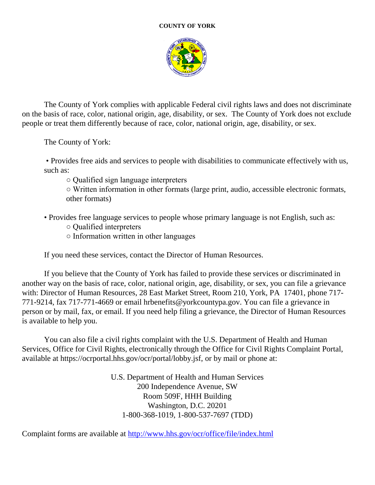## **COUNTY OF YORK**



The County of York complies with applicable Federal civil rights laws and does not discriminate on the basis of race, color, national origin, age, disability, or sex. The County of York does not exclude people or treat them differently because of race, color, national origin, age, disability, or sex.

The County of York:

• Provides free aids and services to people with disabilities to communicate effectively with us, such as:

○ Qualified sign language interpreters

○ Written information in other formats (large print, audio, accessible electronic formats, other formats)

- Provides free language services to people whose primary language is not English, such as:
	- Qualified interpreters
	- Information written in other languages

If you need these services, contact the Director of Human Resources.

If you believe that the County of York has failed to provide these services or discriminated in another way on the basis of race, color, national origin, age, disability, or sex, you can file a grievance with: Director of Human Resources, 28 East Market Street, Room 210, York, PA 17401, phone 717- 771-9214, fax 717-771-4669 or email hrbenefits@yorkcountypa.gov. You can file a grievance in person or by mail, fax, or email. If you need help filing a grievance, the Director of Human Resources is available to help you.

You can also file a civil rights complaint with the U.S. Department of Health and Human Services, Office for Civil Rights, electronically through the Office for Civil Rights Complaint Portal, available at https://ocrportal.hhs.gov/ocr/portal/lobby.jsf, or by mail or phone at:

> U.S. Department of Health and Human Services 200 Independence Avenue, SW Room 509F, HHH Building Washington, D.C. 20201 1-800-368-1019, 1-800-537-7697 (TDD)

Complaint forms are available at<http://www.hhs.gov/ocr/office/file/index.html>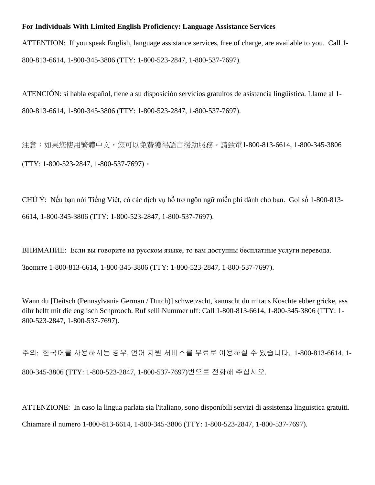## **For Individuals With Limited English Proficiency: Language Assistance Services**

ATTENTION: If you speak English, language assistance services, free of charge, are available to you. Call 1- 800-813-6614, 1-800-345-3806 (TTY: 1-800-523-2847, 1-800-537-7697).

ATENCIÓN: si habla español, tiene a su disposición servicios gratuitos de asistencia lingüística. Llame al 1- 800-813-6614, 1-800-345-3806 (TTY: 1-800-523-2847, 1-800-537-7697).

注意:如果您使用繁體中文,您可以免費獲得語言援助服務。請致電1-800-813-6614, 1-800-345-3806 (TTY: 1-800-523-2847, 1-800-537-7697)。

CHÚ Ý: Nếu bạn nói Tiếng Việt, có các dịch vụ hỗ trợ ngôn ngữ miễn phí dành cho bạn. Gọi số 1-800-813- 6614, 1-800-345-3806 (TTY: 1-800-523-2847, 1-800-537-7697).

ВНИМАНИЕ: Если вы говорите на русском языке, то вам доступны бесплатные услуги перевода. Звоните 1-800-813-6614, 1-800-345-3806 (TTY: 1-800-523-2847, 1-800-537-7697).

Wann du [Deitsch (Pennsylvania German / Dutch)] schwetzscht, kannscht du mitaus Koschte ebber gricke, ass dihr helft mit die englisch Schprooch. Ruf selli Nummer uff: Call 1-800-813-6614, 1-800-345-3806 (TTY: 1- 800-523-2847, 1-800-537-7697).

주의: 한국어를 사용하시는 경우, 언어 지원 서비스를 무료로 이용하실 수 있습니다. 1-800-813-6614, 1- 800-345-3806 (TTY: 1-800-523-2847, 1-800-537-7697)번으로 전화해 주십시오.

ATTENZIONE: In caso la lingua parlata sia l'italiano, sono disponibili servizi di assistenza linguistica gratuiti. Chiamare il numero 1-800-813-6614, 1-800-345-3806 (TTY: 1-800-523-2847, 1-800-537-7697).